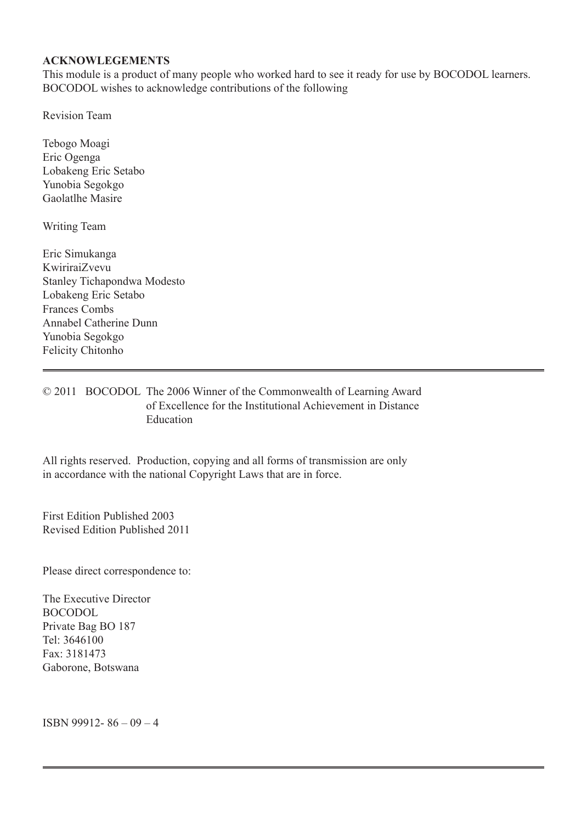#### **ACKNOWLEGEMENTS**

This module is a product of many people who worked hard to see it ready for use by BOCODOL learners. BOCODOL wishes to acknowledge contributions of the following

Revision Team

Tebogo Moagi Eric Ogenga Lobakeng Eric Setabo Yunobia Segokgo Gaolatlhe Masire

Writing Team

Eric Simukanga KwiriraiZvevu Stanley Tichapondwa Modesto Lobakeng Eric Setabo Frances Combs Annabel Catherine Dunn Yunobia Segokgo Felicity Chitonho

#### © 2011 BOCODOL The 2006 Winner of the Commonwealth of Learning Award of Excellence for the Institutional Achievement in Distance $GEDWLR$

This module is made available under a Creative Commons Attribution-ShareAlike 3.0 Licence (international): http://creativecommons.org/licences/by-sa/3.0.

First Edition Published 2003 Revised Edition Published 2011

Please direct correspondence to:

The Executive Director BOCODOL Private Bag BO 187 Tel: 3646100 Fax: 3181473 Gaborone, Botswana

ISBN 99912- 86 – 09 – 4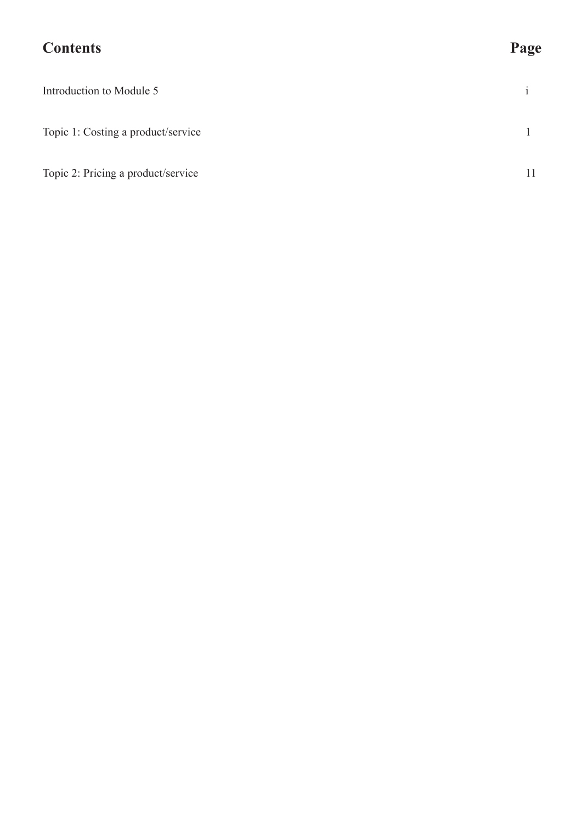# **Contents Page**

| Introduction to Module 5           |    |
|------------------------------------|----|
| Topic 1: Costing a product/service |    |
| Topic 2: Pricing a product/service | 11 |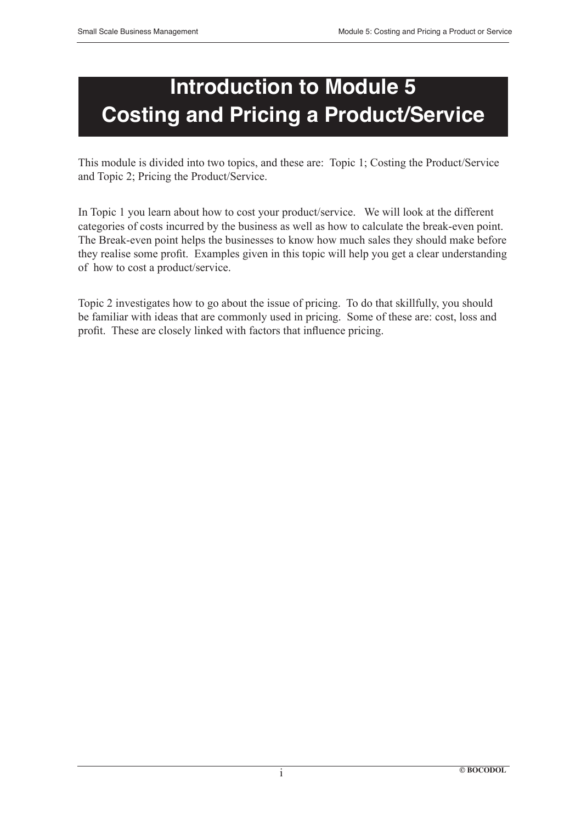# **Introduction to Module 5 Costing and Pricing a Product/Service**

This module is divided into two topics, and these are: Topic 1; Costing the Product/Service and Topic 2; Pricing the Product/Service.

In Topic 1 you learn about how to cost your product/service. We will look at the different categories of costs incurred by the business as well as how to calculate the break-even point. The Break-even point helps the businesses to know how much sales they should make before they realise some profit. Examples given in this topic will help you get a clear understanding of how to cost a product/service.

Topic 2 investigates how to go about the issue of pricing. To do that skillfully, you should be familiar with ideas that are commonly used in pricing. Some of these are: cost, loss and profit. These are closely linked with factors that influence pricing.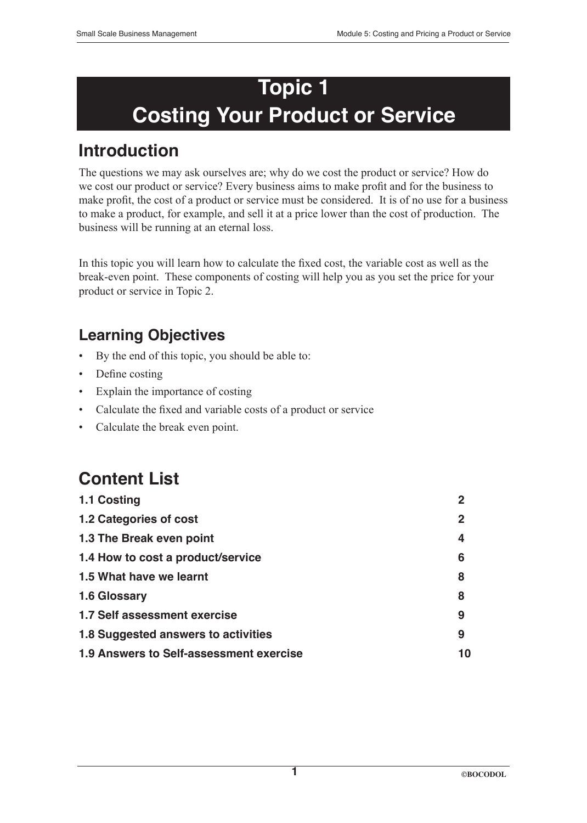# **Topic 1 Costing Your Product or Service**

# **Introduction**

The questions we may ask ourselves are; why do we cost the product or service? How do we cost our product or service? Every business aims to make profit and for the business to make profit, the cost of a product or service must be considered. It is of no use for a business to make a product, for example, and sell it at a price lower than the cost of production. The business will be running at an eternal loss.

In this topic you will learn how to calculate the fixed cost, the variable cost as well as the break-even point. These components of costing will help you as you set the price for your product or service in Topic 2.

# **Learning Objectives**

- By the end of this topic, you should be able to:
- Define costing
- Explain the importance of costing
- Calculate the fixed and variable costs of a product or service
- Calculate the break even point.

# **Content List**

| 1.1 Costing                             | 2           |
|-----------------------------------------|-------------|
| 1.2 Categories of cost                  | $\mathbf 2$ |
| 1.3 The Break even point                | 4           |
| 1.4 How to cost a product/service       | 6           |
| 1.5 What have we learnt                 | 8           |
| 1.6 Glossary                            | 8           |
| 1.7 Self assessment exercise            | 9           |
| 1.8 Suggested answers to activities     | 9           |
| 1.9 Answers to Self-assessment exercise | 10          |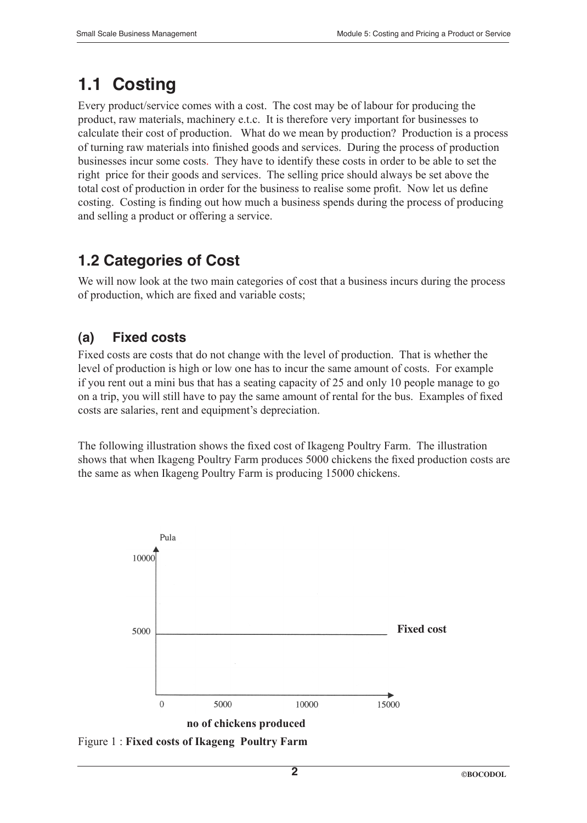# **1.1 Costing**

Every product/service comes with a cost. The cost may be of labour for producing the product, raw materials, machinery e.t.c. It is therefore very important for businesses to calculate their cost of production. What do we mean by production? Production is a process of turning raw materials into finished goods and services. During the process of production businesses incur some costs. They have to identify these costs in order to be able to set the right price for their goods and services. The selling price should always be set above the total cost of production in order for the business to realise some profit. Now let us define costing. Costing is finding out how much a business spends during the process of producing and selling a product or offering a service.

# **1.2 Categories of Cost**

We will now look at the two main categories of cost that a business incurs during the process of production, which are fixed and variable costs;

# **(a) Fixed costs**

Fixed costs are costs that do not change with the level of production. That is whether the level of production is high or low one has to incur the same amount of costs. For example if you rent out a mini bus that has a seating capacity of 25 and only 10 people manage to go on a trip, you will still have to pay the same amount of rental for the bus. Examples of fixed costs are salaries, rent and equipment's depreciation.

The following illustration shows the fixed cost of Ikageng Poultry Farm. The illustration shows that when Ikageng Poultry Farm produces 5000 chickens the fixed production costs are the same as when Ikageng Poultry Farm is producing 15000 chickens.



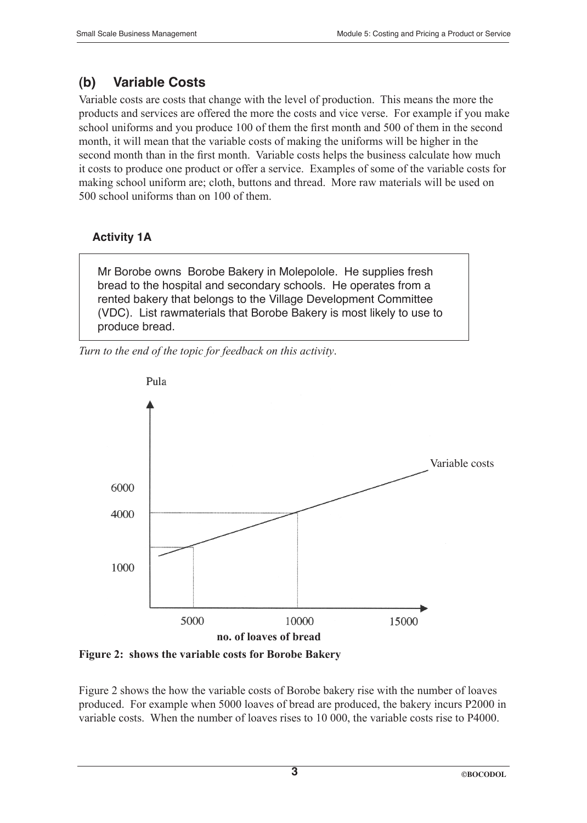### **(b) Variable Costs**

Variable costs are costs that change with the level of production. This means the more the products and services are offered the more the costs and vice verse. For example if you make school uniforms and you produce 100 of them the first month and 500 of them in the second month, it will mean that the variable costs of making the uniforms will be higher in the second month than in the first month. Variable costs helps the business calculate how much it costs to produce one product or offer a service. Examples of some of the variable costs for making school uniform are; cloth, buttons and thread. More raw materials will be used on 500 school uniforms than on 100 of them.

#### **Activity 1A**

Mr Borobe owns Borobe Bakery in Molepolole. He supplies fresh bread to the hospital and secondary schools. He operates from a rented bakery that belongs to the Village Development Committee (VDC). List rawmaterials that Borobe Bakery is most likely to use to produce bread.

*Turn to the end of the topic for feedback on this activity*.



**Figure 2: shows the variable costs for Borobe Bakery**

Figure 2 shows the how the variable costs of Borobe bakery rise with the number of loaves produced. For example when 5000 loaves of bread are produced, the bakery incurs P2000 in variable costs. When the number of loaves rises to 10 000, the variable costs rise to P4000.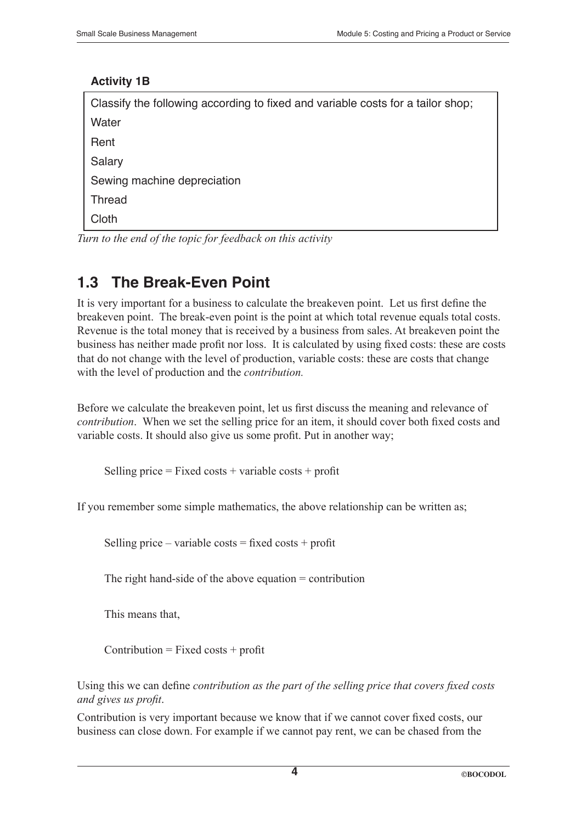#### **Activity 1B**

| Classify the following according to fixed and variable costs for a tailor shop; |
|---------------------------------------------------------------------------------|
| Water                                                                           |
| Rent                                                                            |
| Salary                                                                          |
| Sewing machine depreciation                                                     |
| <b>Thread</b>                                                                   |
| Cloth                                                                           |
|                                                                                 |

*Turn to the end of the topic for feedback on this activity*

# **1.3 The Break-Even Point**

It is very important for a business to calculate the breakeven point. Let us first define the breakeven point. The break-even point is the point at which total revenue equals total costs. Revenue is the total money that is received by a business from sales. At breakeven point the business has neither made profit nor loss. It is calculated by using fixed costs: these are costs that do not change with the level of production, variable costs: these are costs that change with the level of production and the *contribution.*

Before we calculate the breakeven point, let us first discuss the meaning and relevance of *contribution*. When we set the selling price for an item, it should cover both fixed costs and variable costs. It should also give us some profit. Put in another way;

Selling price  $=$  Fixed costs  $+$  variable costs  $+$  profit

If you remember some simple mathematics, the above relationship can be written as;

Selling price – variable costs = fixed costs + profit

The right hand-side of the above equation = contribution

This means that,

 $Contribution = Fixed costs + profit$ 

Using this we can define *contribution as the part of the selling price that covers fixed costs and gives us profit*.

Contribution is very important because we know that if we cannot cover fixed costs, our business can close down. For example if we cannot pay rent, we can be chased from the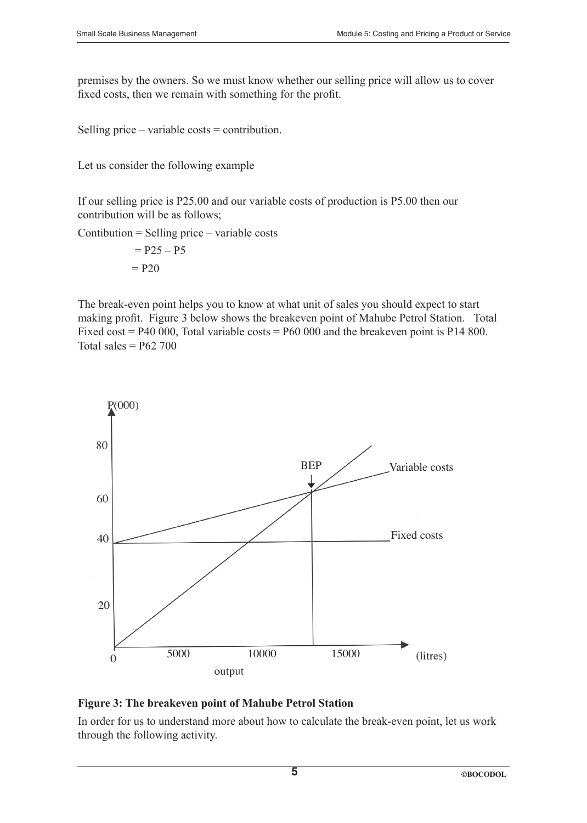premises by the owners. So we must know whether our selling price will allow us to cover fixed costs, then we remain with something for the profit.

Selling price – variable costs = contribution.

Let us consider the following example

If our selling price is P25.00 and our variable costs of production is P5.00 then our contribution will be as follows;

Contibution = Selling price – variable costs

$$
= P25 - P5
$$

$$
= P20
$$

The break-even point helps you to know at what unit of sales you should expect to start making profit. Figure 3 below shows the breakeven point of Mahube Petrol Station. Total Fixed cost =  $P40\,000$ , Total variable costs =  $P60\,000$  and the breakeven point is P14 800. Total sales  $=$  P62 700



#### **Figure 3: The breakeven point of Mahube Petrol Station**

In order for us to understand more about how to calculate the break-even point, let us work through the following activity.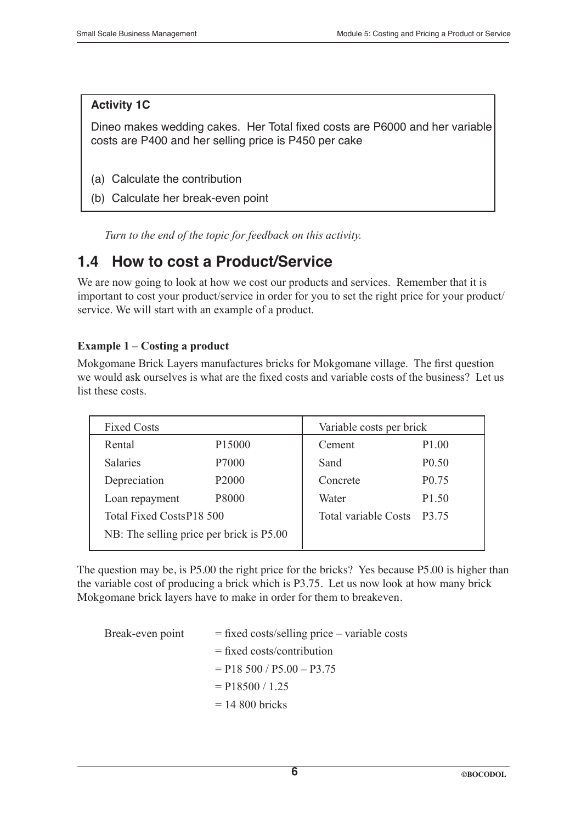#### **Activity 1C**

Dineo makes wedding cakes. Her Total fixed costs are P6000 and her variable costs are P400 and her selling price is P450 per cake

- (a) Calculate the contribution
- (b) Calculate her break-even point

*Turn to the end of the topic for feedback on this activity.*

## **1.4 How to cost a Product/Service**

We are now going to look at how we cost our products and services. Remember that it is important to cost your product/service in order for you to set the right price for your product/ service. We will start with an example of a product.

#### **Example 1 – Costing a product**

Mokgomane Brick Layers manufactures bricks for Mokgomane village. The first question we would ask ourselves is what are the fixed costs and variable costs of the business? Let us list these costs.

| <b>Fixed Costs</b>                       |          | Variable costs per brick    |  |
|------------------------------------------|----------|-----------------------------|--|
| P <sub>15000</sub>                       | Cement   | P <sub>1.00</sub>           |  |
| P7000                                    | Sand     | P <sub>0.50</sub>           |  |
| P <sub>2000</sub>                        | Concrete | P <sub>0.75</sub>           |  |
| P8000                                    | Water    | P <sub>1.50</sub>           |  |
| Total Fixed CostsP18 500                 |          | P3.75                       |  |
| NB: The selling price per brick is P5.00 |          |                             |  |
|                                          |          | <b>Total variable Costs</b> |  |

The question may be, is P5.00 the right price for the bricks? Yes because P5.00 is higher than the variable cost of producing a brick which is P3.75. Let us now look at how many brick Mokgomane brick layers have to make in order for them to breakeven.

| $=$ fixed costs/selling price – variable costs |  |
|------------------------------------------------|--|
| $=$ fixed costs/contribution                   |  |
| $=$ P18 500 / P5.00 - P3.75                    |  |
| $=$ P18500 / 1.25                              |  |
| $= 14800$ bricks                               |  |
|                                                |  |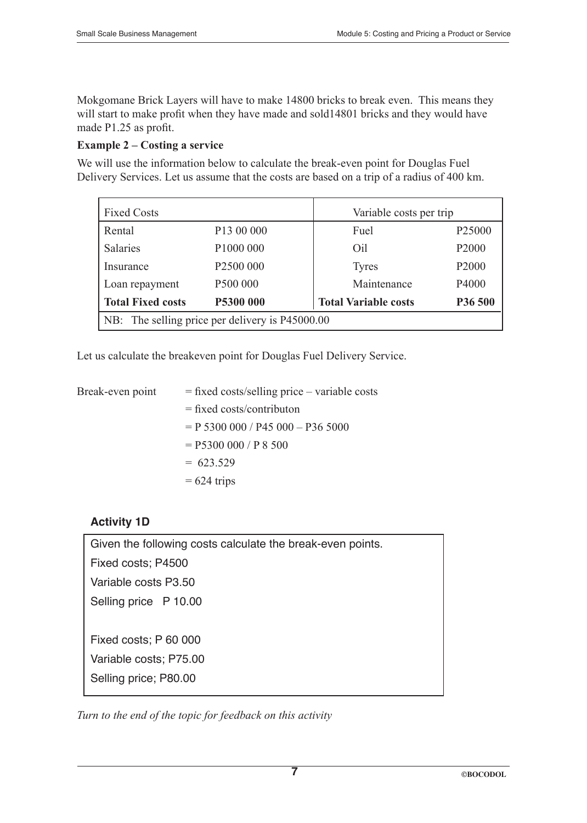Mokgomane Brick Layers will have to make 14800 bricks to break even. This means they will start to make profit when they have made and sold14801 bricks and they would have made P1.25 as profit.

#### **Example 2 – Costing a service**

We will use the information below to calculate the break-even point for Douglas Fuel Delivery Services. Let us assume that the costs are based on a trip of a radius of 400 km.

| <b>Fixed Costs</b><br>Variable costs per trip   |                       |                             |                    |
|-------------------------------------------------|-----------------------|-----------------------------|--------------------|
| Rental                                          | P13 00 000            | Fuel                        | P <sub>25000</sub> |
| Salaries                                        | P1000 000             | Oil                         | P <sub>2000</sub>  |
| Insurance                                       | P <sub>2500</sub> 000 | <b>Tyres</b>                | P <sub>2000</sub>  |
| Loan repayment                                  | P500 000              | Maintenance                 | P4000              |
| <b>Total Fixed costs</b>                        | P5300 000             | <b>Total Variable costs</b> | P36 500            |
| NB: The selling price per delivery is P45000.00 |                       |                             |                    |

Let us calculate the breakeven point for Douglas Fuel Delivery Service.

| $=$ fixed costs/selling price – variable costs |
|------------------------------------------------|
| $=$ fixed costs/contributon                    |
| $= P 5300 000 / P45 000 - P36 5000$            |
| $=$ P5300 000 / P 8 500                        |
| $= 623.529$                                    |
| $= 624$ trips                                  |
|                                                |

#### **Activity 1D**

Given the following costs calculate the break-even points. Fixed costs; P4500 Variable costs P3.50 Selling price P 10.00 Fixed costs; P 60 000 Variable costs; P75.00 Selling price; P80.00

*Turn to the end of the topic for feedback on this activity*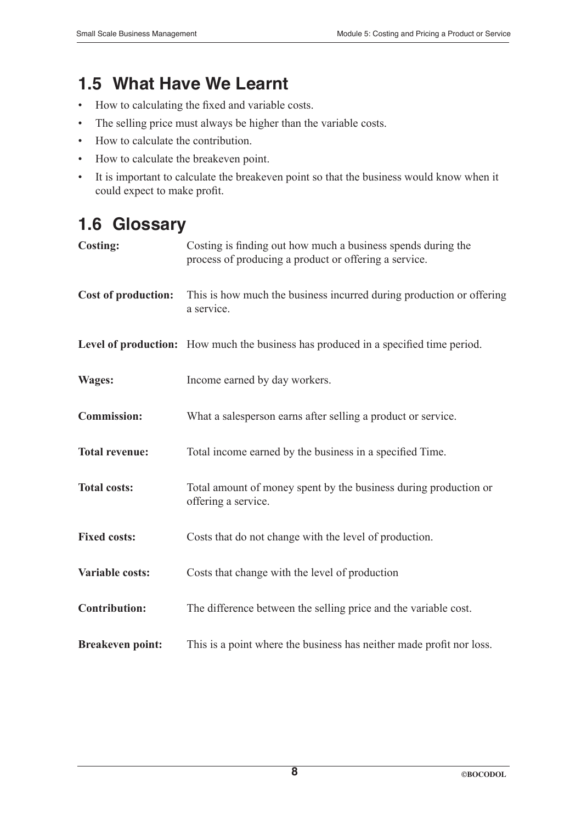# **1.5 What Have We Learnt**

- How to calculating the fixed and variable costs.
- The selling price must always be higher than the variable costs.
- How to calculate the contribution.
- How to calculate the breakeven point.
- It is important to calculate the breakeven point so that the business would know when it could expect to make profit.

# **1.6 Glossary**

| <b>Costing:</b>            | Costing is finding out how much a business spends during the<br>process of producing a product or offering a service. |
|----------------------------|-----------------------------------------------------------------------------------------------------------------------|
| <b>Cost of production:</b> | This is how much the business incurred during production or offering<br>a service.                                    |
|                            | Level of production: How much the business has produced in a specified time period.                                   |
| <b>Wages:</b>              | Income earned by day workers.                                                                                         |
| <b>Commission:</b>         | What a salesperson earns after selling a product or service.                                                          |
| <b>Total revenue:</b>      | Total income earned by the business in a specified Time.                                                              |
| <b>Total costs:</b>        | Total amount of money spent by the business during production or<br>offering a service.                               |
| <b>Fixed costs:</b>        | Costs that do not change with the level of production.                                                                |
| <b>Variable costs:</b>     | Costs that change with the level of production                                                                        |
| <b>Contribution:</b>       | The difference between the selling price and the variable cost.                                                       |
| <b>Breakeven point:</b>    | This is a point where the business has neither made profit nor loss.                                                  |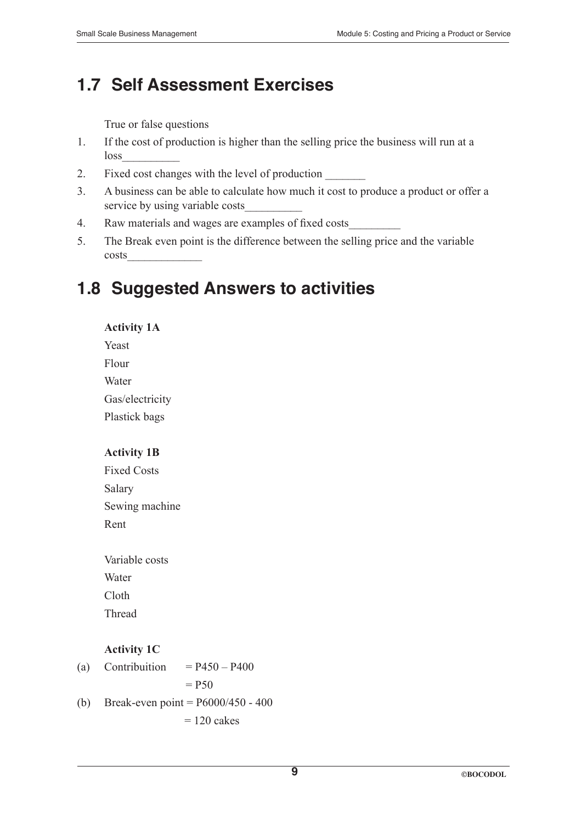# **1.7 Self Assessment Exercises**

True or false questions

- 1. If the cost of production is higher than the selling price the business will run at a loss\_\_\_\_\_\_\_\_\_\_
- 2. Fixed cost changes with the level of production
- 3. A business can be able to calculate how much it cost to produce a product or offer a service by using variable costs
- 4. Raw materials and wages are examples of fixed costs\_\_\_\_\_\_\_\_\_
- 5. The Break even point is the difference between the selling price and the variable costs\_\_\_\_\_\_\_\_\_\_\_\_\_

# **1.8 Suggested Answers to activities**

**Activity 1A** Yeast

Flour

Water

Gas/electricity

Plastick bags

#### **Activity 1B**

Fixed Costs Salary Sewing machine Rent

Variable costs Water Cloth Thread

#### **Activity 1C**

- (a) Contribuition  $= P450 P400$  $=$  P50 (b) Break-even point = P6000/450 - 400
	- $= 120$  cakes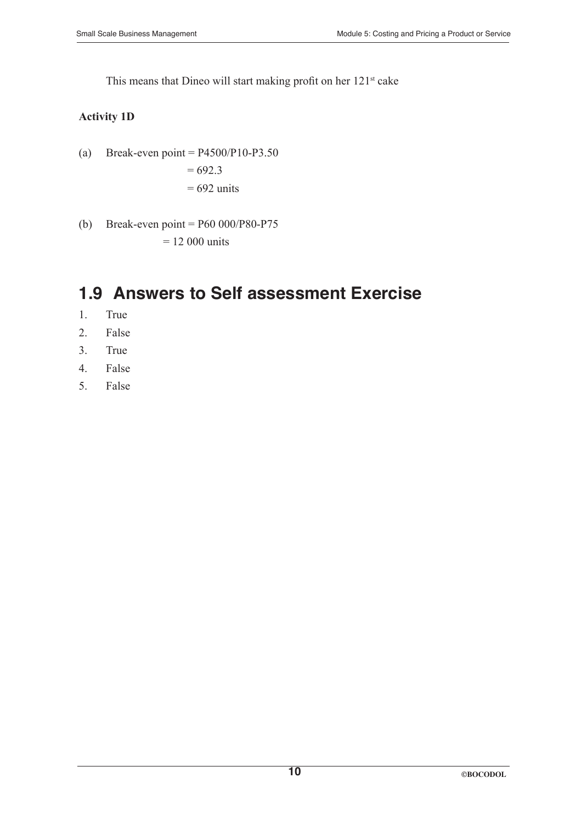This means that Dineo will start making profit on her 121<sup>st</sup> cake

#### **Activity 1D**

(a) Break-even point =  $P4500/P10-P3.50$  $= 692.3$ 

$$
= 692 \text{ units}
$$

(b) Break-even point = P60 000/P80-P75

 $= 12 000$  units

# **1.9 Answers to Self assessment Exercise**

- 1. True
- 2. False
- 3. True
- 4. False
- 5. False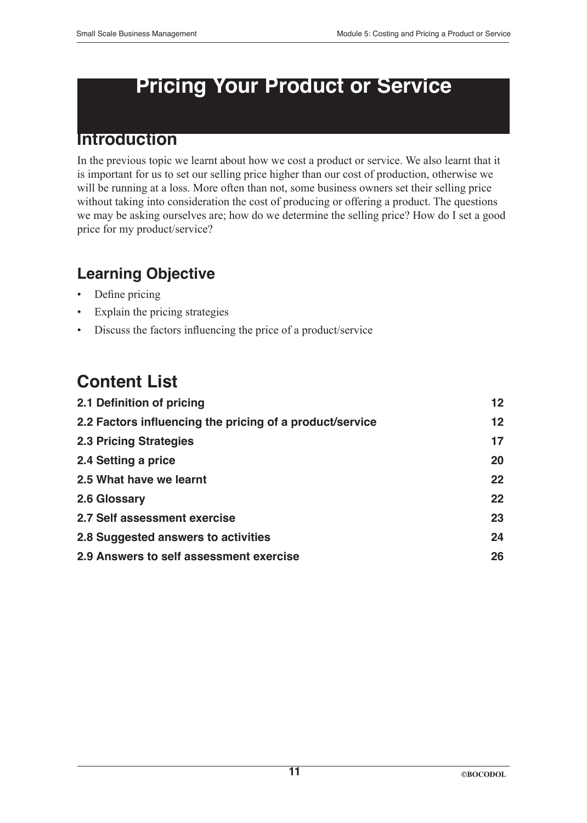# **Pricing Your Product or Service**

# **Introduction**

In the previous topic we learnt about how we cost a product or service. We also learnt that it is important for us to set our selling price higher than our cost of production, otherwise we will be running at a loss. More often than not, some business owners set their selling price without taking into consideration the cost of producing or offering a product. The questions we may be asking ourselves are; how do we determine the selling price? How do I set a good price for my product/service?

# **Learning Objective**

- Define pricing
- Explain the pricing strategies
- Discuss the factors influencing the price of a product/service

# **Content List**

| 2.1 Definition of pricing                                | 12 <sub>2</sub>   |
|----------------------------------------------------------|-------------------|
| 2.2 Factors influencing the pricing of a product/service | $12 \overline{ }$ |
| <b>2.3 Pricing Strategies</b>                            | 17                |
| 2.4 Setting a price                                      | 20                |
| 2.5 What have we learnt                                  | 22                |
| 2.6 Glossary                                             | 22                |
| 2.7 Self assessment exercise                             | 23                |
| 2.8 Suggested answers to activities                      | 24                |
| 2.9 Answers to self assessment exercise                  | 26                |
|                                                          |                   |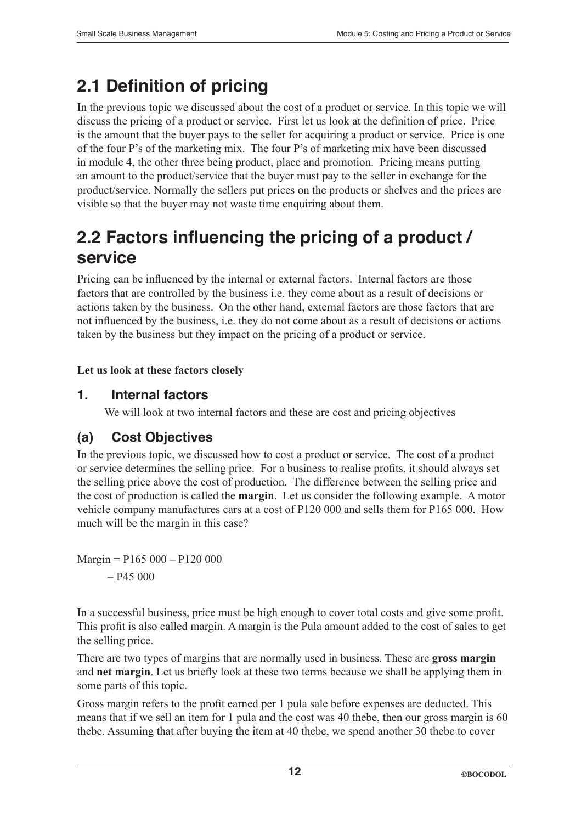# **2.1 Definition of pricing**

In the previous topic we discussed about the cost of a product or service. In this topic we will discuss the pricing of a product or service. First let us look at the definition of price. Price is the amount that the buyer pays to the seller for acquiring a product or service. Price is one of the four P's of the marketing mix. The four P's of marketing mix have been discussed in module 4, the other three being product, place and promotion. Pricing means putting an amount to the product/service that the buyer must pay to the seller in exchange for the product/service. Normally the sellers put prices on the products or shelves and the prices are visible so that the buyer may not waste time enquiring about them.

# **2.2 Factors influencing the pricing of a product / service**

Pricing can be influenced by the internal or external factors. Internal factors are those factors that are controlled by the business i.e. they come about as a result of decisions or actions taken by the business. On the other hand, external factors are those factors that are not influenced by the business, i.e. they do not come about as a result of decisions or actions taken by the business but they impact on the pricing of a product or service.

#### **Let us look at these factors closely**

### **1. Internal factors**

We will look at two internal factors and these are cost and pricing objectives

### **(a) Cost Objectives**

In the previous topic, we discussed how to cost a product or service. The cost of a product or service determines the selling price. For a business to realise profits, it should always set the selling price above the cost of production. The difference between the selling price and the cost of production is called the **margin**. Let us consider the following example. A motor vehicle company manufactures cars at a cost of P120 000 and sells them for P165 000. How much will be the margin in this case?

 $Margin = P165000 - P120000$  $=$  P45 000

In a successful business, price must be high enough to cover total costs and give some profit. This profit is also called margin. A margin is the Pula amount added to the cost of sales to get the selling price.

There are two types of margins that are normally used in business. These are **gross margin**  and **net margin**. Let us briefly look at these two terms because we shall be applying them in some parts of this topic.

Gross margin refers to the profit earned per 1 pula sale before expenses are deducted. This means that if we sell an item for 1 pula and the cost was 40 thebe, then our gross margin is 60 thebe. Assuming that after buying the item at 40 thebe, we spend another 30 thebe to cover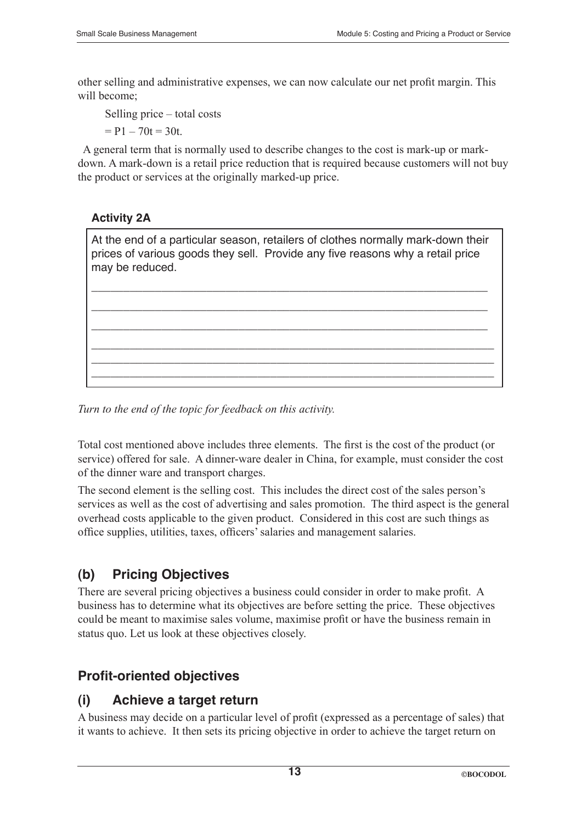other selling and administrative expenses, we can now calculate our net profit margin. This will become;

Selling price – total costs

 $= P1 - 70t = 30t$ .

 A general term that is normally used to describe changes to the cost is mark-up or markdown. A mark-down is a retail price reduction that is required because customers will not buy the product or services at the originally marked-up price.

#### **Activity 2A**

At the end of a particular season, retailers of clothes normally mark-down their prices of various goods they sell. Provide any five reasons why a retail price may be reduced.

\_\_\_\_\_\_\_\_\_\_\_\_\_\_\_\_\_\_\_\_\_\_\_\_\_\_\_\_\_\_\_\_\_\_\_\_\_\_\_\_\_\_\_\_\_\_\_\_\_\_\_\_\_\_\_\_\_\_\_\_\_\_

\_\_\_\_\_\_\_\_\_\_\_\_\_\_\_\_\_\_\_\_\_\_\_\_\_\_\_\_\_\_\_\_\_\_\_\_\_\_\_\_\_\_\_\_\_\_\_\_\_\_\_\_\_\_\_\_\_\_\_\_\_\_

\_\_\_\_\_\_\_\_\_\_\_\_\_\_\_\_\_\_\_\_\_\_\_\_\_\_\_\_\_\_\_\_\_\_\_\_\_\_\_\_\_\_\_\_\_\_\_\_\_\_\_\_\_\_\_\_\_\_\_\_\_\_

\_\_\_\_\_\_\_\_\_\_\_\_\_\_\_\_\_\_\_\_\_\_\_\_\_\_\_\_\_\_\_\_\_\_\_\_\_\_\_\_\_\_\_\_\_\_\_\_\_\_\_\_\_\_\_\_\_\_\_\_\_\_\_ \_\_\_\_\_\_\_\_\_\_\_\_\_\_\_\_\_\_\_\_\_\_\_\_\_\_\_\_\_\_\_\_\_\_\_\_\_\_\_\_\_\_\_\_\_\_\_\_\_\_\_\_\_\_\_\_\_\_\_\_\_\_\_ \_\_\_\_\_\_\_\_\_\_\_\_\_\_\_\_\_\_\_\_\_\_\_\_\_\_\_\_\_\_\_\_\_\_\_\_\_\_\_\_\_\_\_\_\_\_\_\_\_\_\_\_\_\_\_\_\_\_\_\_\_\_\_

*Turn to the end of the topic for feedback on this activity.*

Total cost mentioned above includes three elements. The first is the cost of the product (or service) offered for sale. A dinner-ware dealer in China, for example, must consider the cost of the dinner ware and transport charges.

The second element is the selling cost. This includes the direct cost of the sales person's services as well as the cost of advertising and sales promotion. The third aspect is the general overhead costs applicable to the given product. Considered in this cost are such things as office supplies, utilities, taxes, officers' salaries and management salaries.

### **(b) Pricing Objectives**

There are several pricing objectives a business could consider in order to make profit. A business has to determine what its objectives are before setting the price. These objectives could be meant to maximise sales volume, maximise profit or have the business remain in status quo. Let us look at these objectives closely.

### **Profit-oriented objectives**

### **(i) Achieve a target return**

A business may decide on a particular level of profit (expressed as a percentage of sales) that it wants to achieve. It then sets its pricing objective in order to achieve the target return on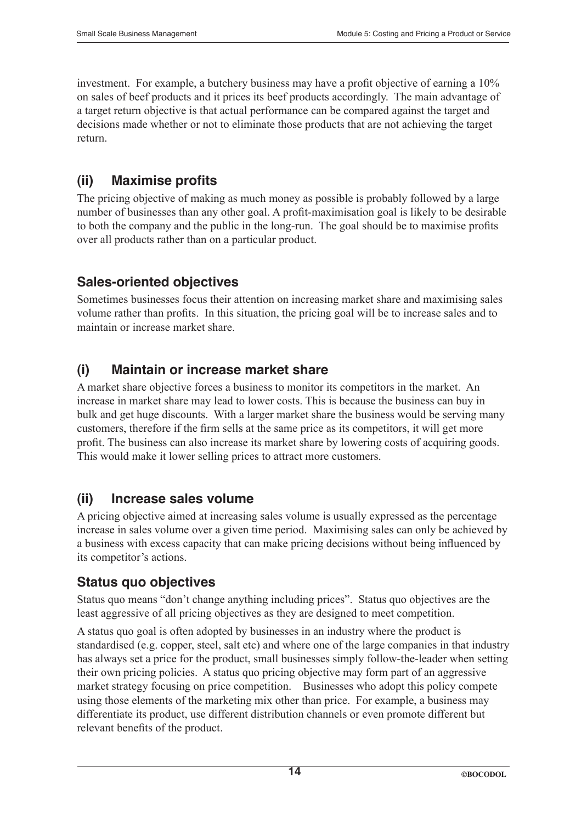investment. For example, a butchery business may have a profit objective of earning a 10% on sales of beef products and it prices its beef products accordingly. The main advantage of a target return objective is that actual performance can be compared against the target and decisions made whether or not to eliminate those products that are not achieving the target return.

### **(ii) Maximise profits**

The pricing objective of making as much money as possible is probably followed by a large number of businesses than any other goal. A profit-maximisation goal is likely to be desirable to both the company and the public in the long-run. The goal should be to maximise profits over all products rather than on a particular product.

### **Sales-oriented objectives**

Sometimes businesses focus their attention on increasing market share and maximising sales volume rather than profits. In this situation, the pricing goal will be to increase sales and to maintain or increase market share.

### **(i) Maintain or increase market share**

A market share objective forces a business to monitor its competitors in the market. An increase in market share may lead to lower costs. This is because the business can buy in bulk and get huge discounts. With a larger market share the business would be serving many customers, therefore if the firm sells at the same price as its competitors, it will get more profit. The business can also increase its market share by lowering costs of acquiring goods. This would make it lower selling prices to attract more customers.

### **(ii) Increase sales volume**

A pricing objective aimed at increasing sales volume is usually expressed as the percentage increase in sales volume over a given time period. Maximising sales can only be achieved by a business with excess capacity that can make pricing decisions without being influenced by its competitor's actions.

### **Status quo objectives**

Status quo means "don't change anything including prices". Status quo objectives are the least aggressive of all pricing objectives as they are designed to meet competition.

A status quo goal is often adopted by businesses in an industry where the product is standardised (e.g. copper, steel, salt etc) and where one of the large companies in that industry has always set a price for the product, small businesses simply follow-the-leader when setting their own pricing policies. A status quo pricing objective may form part of an aggressive market strategy focusing on price competition. Businesses who adopt this policy compete using those elements of the marketing mix other than price. For example, a business may differentiate its product, use different distribution channels or even promote different but relevant benefits of the product.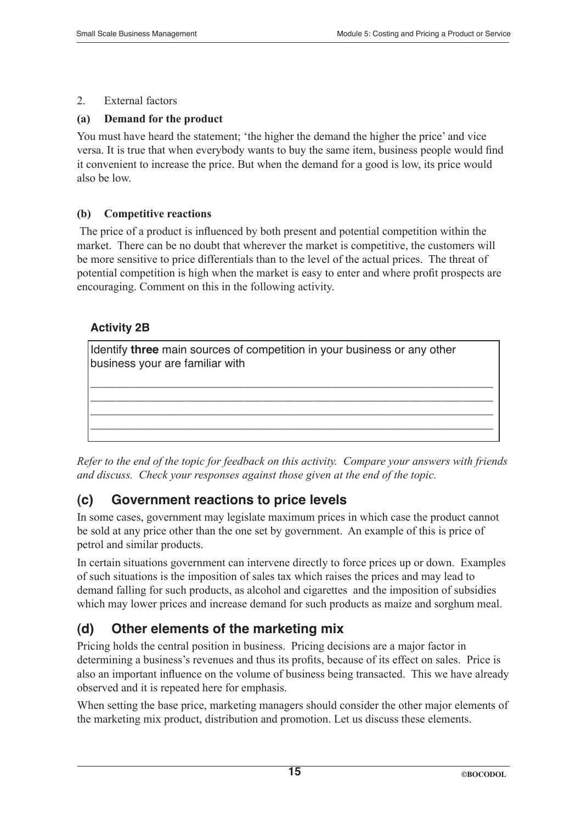#### 2. External factors

#### **(a) Demand for the product**

You must have heard the statement; 'the higher the demand the higher the price' and vice versa. It is true that when everybody wants to buy the same item, business people would find it convenient to increase the price. But when the demand for a good is low, its price would also be low.

#### **(b) Competitive reactions**

 The price of a product is influenced by both present and potential competition within the market. There can be no doubt that wherever the market is competitive, the customers will be more sensitive to price differentials than to the level of the actual prices. The threat of potential competition is high when the market is easy to enter and where profit prospects are encouraging. Comment on this in the following activity.

#### **Activity 2B**

| Identify three main sources of competition in your business or any other<br>business your are familiar with |
|-------------------------------------------------------------------------------------------------------------|
|                                                                                                             |
|                                                                                                             |

*Refer to the end of the topic for feedback on this activity. Compare your answers with friends and discuss. Check your responses against those given at the end of the topic.*

### **(c) Government reactions to price levels**

In some cases, government may legislate maximum prices in which case the product cannot be sold at any price other than the one set by government. An example of this is price of petrol and similar products.

In certain situations government can intervene directly to force prices up or down. Examples of such situations is the imposition of sales tax which raises the prices and may lead to demand falling for such products, as alcohol and cigarettes and the imposition of subsidies which may lower prices and increase demand for such products as maize and sorghum meal.

### **(d) Other elements of the marketing mix**

Pricing holds the central position in business. Pricing decisions are a major factor in determining a business's revenues and thus its profits, because of its effect on sales. Price is also an important influence on the volume of business being transacted. This we have already observed and it is repeated here for emphasis.

When setting the base price, marketing managers should consider the other major elements of the marketing mix product, distribution and promotion. Let us discuss these elements.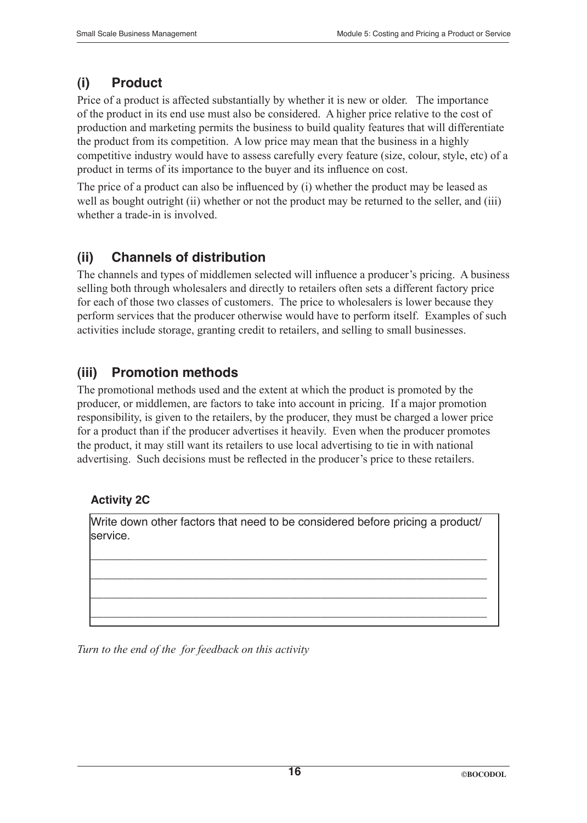## **(i) Product**

Price of a product is affected substantially by whether it is new or older. The importance of the product in its end use must also be considered. A higher price relative to the cost of production and marketing permits the business to build quality features that will differentiate the product from its competition. A low price may mean that the business in a highly competitive industry would have to assess carefully every feature (size, colour, style, etc) of a product in terms of its importance to the buyer and its influence on cost.

The price of a product can also be influenced by (i) whether the product may be leased as well as bought outright (ii) whether or not the product may be returned to the seller, and (iii) whether a trade-in is involved.

### **(ii) Channels of distribution**

The channels and types of middlemen selected will influence a producer's pricing. A business selling both through wholesalers and directly to retailers often sets a different factory price for each of those two classes of customers. The price to wholesalers is lower because they perform services that the producer otherwise would have to perform itself. Examples of such activities include storage, granting credit to retailers, and selling to small businesses.

### **(iii) Promotion methods**

The promotional methods used and the extent at which the product is promoted by the producer, or middlemen, are factors to take into account in pricing. If a major promotion responsibility, is given to the retailers, by the producer, they must be charged a lower price for a product than if the producer advertises it heavily. Even when the producer promotes the product, it may still want its retailers to use local advertising to tie in with national advertising. Such decisions must be reflected in the producer's price to these retailers.

### **Activity 2C**

Write down other factors that need to be considered before pricing a product/ service.

\_\_\_\_\_\_\_\_\_\_\_\_\_\_\_\_\_\_\_\_\_\_\_\_\_\_\_\_\_\_\_\_\_\_\_\_\_\_\_\_\_\_\_\_\_\_\_\_\_\_\_\_\_\_\_\_\_\_\_\_\_\_

\_\_\_\_\_\_\_\_\_\_\_\_\_\_\_\_\_\_\_\_\_\_\_\_\_\_\_\_\_\_\_\_\_\_\_\_\_\_\_\_\_\_\_\_\_\_\_\_\_\_\_\_\_\_\_\_\_\_\_\_\_\_

\_\_\_\_\_\_\_\_\_\_\_\_\_\_\_\_\_\_\_\_\_\_\_\_\_\_\_\_\_\_\_\_\_\_\_\_\_\_\_\_\_\_\_\_\_\_\_\_\_\_\_\_\_\_\_\_\_\_\_\_\_\_

\_\_\_\_\_\_\_\_\_\_\_\_\_\_\_\_\_\_\_\_\_\_\_\_\_\_\_\_\_\_\_\_\_\_\_\_\_\_\_\_\_\_\_\_\_\_\_\_\_\_\_\_\_\_\_\_\_\_\_\_\_\_

*Turn to the end of the for feedback on this activity*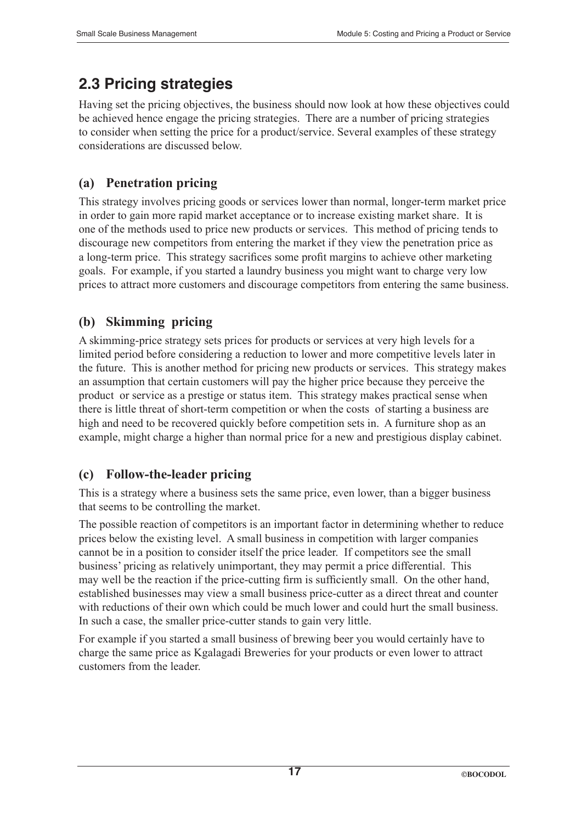# **2.3 Pricing strategies**

Having set the pricing objectives, the business should now look at how these objectives could be achieved hence engage the pricing strategies. There are a number of pricing strategies to consider when setting the price for a product/service. Several examples of these strategy considerations are discussed below.

### **(a) Penetration pricing**

This strategy involves pricing goods or services lower than normal, longer-term market price in order to gain more rapid market acceptance or to increase existing market share. It is one of the methods used to price new products or services. This method of pricing tends to discourage new competitors from entering the market if they view the penetration price as a long-term price. This strategy sacrifices some profit margins to achieve other marketing goals. For example, if you started a laundry business you might want to charge very low prices to attract more customers and discourage competitors from entering the same business.

### **(b) Skimming pricing**

A skimming-price strategy sets prices for products or services at very high levels for a limited period before considering a reduction to lower and more competitive levels later in the future. This is another method for pricing new products or services. This strategy makes an assumption that certain customers will pay the higher price because they perceive the product or service as a prestige or status item. This strategy makes practical sense when there is little threat of short-term competition or when the costs of starting a business are high and need to be recovered quickly before competition sets in. A furniture shop as an example, might charge a higher than normal price for a new and prestigious display cabinet.

### **(c) Follow-the-leader pricing**

This is a strategy where a business sets the same price, even lower, than a bigger business that seems to be controlling the market.

The possible reaction of competitors is an important factor in determining whether to reduce prices below the existing level. A small business in competition with larger companies cannot be in a position to consider itself the price leader. If competitors see the small business' pricing as relatively unimportant, they may permit a price differential. This may well be the reaction if the price-cutting firm is sufficiently small. On the other hand, established businesses may view a small business price-cutter as a direct threat and counter with reductions of their own which could be much lower and could hurt the small business. In such a case, the smaller price-cutter stands to gain very little.

For example if you started a small business of brewing beer you would certainly have to charge the same price as Kgalagadi Breweries for your products or even lower to attract customers from the leader.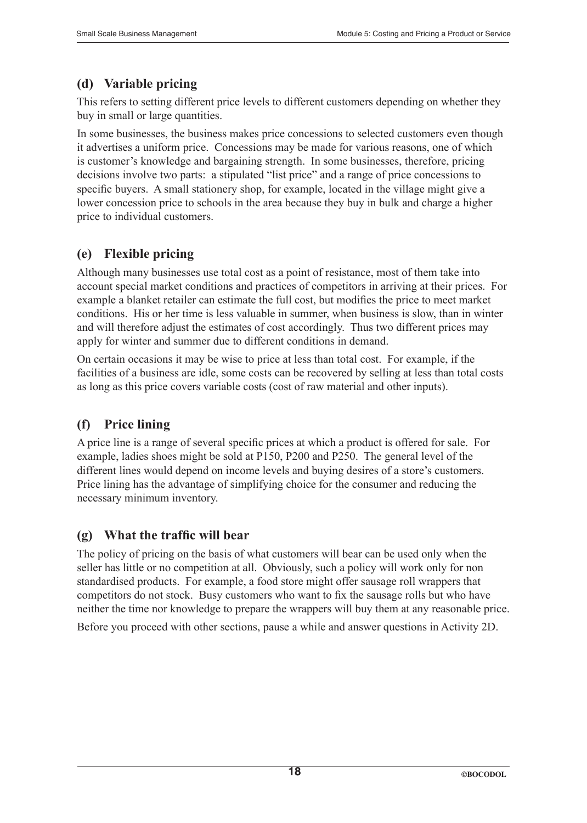### **(d) Variable pricing**

This refers to setting different price levels to different customers depending on whether they buy in small or large quantities.

In some businesses, the business makes price concessions to selected customers even though it advertises a uniform price. Concessions may be made for various reasons, one of which is customer's knowledge and bargaining strength. In some businesses, therefore, pricing decisions involve two parts: a stipulated "list price" and a range of price concessions to specific buyers. A small stationery shop, for example, located in the village might give a lower concession price to schools in the area because they buy in bulk and charge a higher price to individual customers.

### **(e) Flexible pricing**

Although many businesses use total cost as a point of resistance, most of them take into account special market conditions and practices of competitors in arriving at their prices. For example a blanket retailer can estimate the full cost, but modifies the price to meet market conditions. His or her time is less valuable in summer, when business is slow, than in winter and will therefore adjust the estimates of cost accordingly. Thus two different prices may apply for winter and summer due to different conditions in demand.

On certain occasions it may be wise to price at less than total cost. For example, if the facilities of a business are idle, some costs can be recovered by selling at less than total costs as long as this price covers variable costs (cost of raw material and other inputs).

### **(f) Price lining**

A price line is a range of several specific prices at which a product is offered for sale. For example, ladies shoes might be sold at P150, P200 and P250. The general level of the different lines would depend on income levels and buying desires of a store's customers. Price lining has the advantage of simplifying choice for the consumer and reducing the necessary minimum inventory.

### **(g) What the traffic will bear**

The policy of pricing on the basis of what customers will bear can be used only when the seller has little or no competition at all. Obviously, such a policy will work only for non standardised products. For example, a food store might offer sausage roll wrappers that competitors do not stock. Busy customers who want to fix the sausage rolls but who have neither the time nor knowledge to prepare the wrappers will buy them at any reasonable price.

Before you proceed with other sections, pause a while and answer questions in Activity 2D.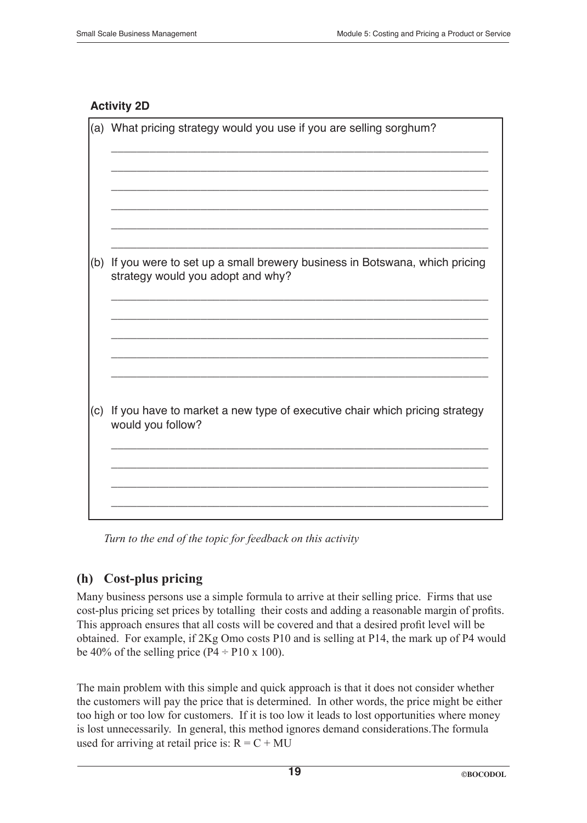#### **Activity 2D**

| (a) | What pricing strategy would you use if you are selling sorghum?                                                |
|-----|----------------------------------------------------------------------------------------------------------------|
|     |                                                                                                                |
|     |                                                                                                                |
|     |                                                                                                                |
|     |                                                                                                                |
| (b) | If you were to set up a small brewery business in Botswana, which pricing<br>strategy would you adopt and why? |
|     |                                                                                                                |
|     |                                                                                                                |
|     |                                                                                                                |
| (c) | If you have to market a new type of executive chair which pricing strategy<br>would you follow?                |
|     |                                                                                                                |
|     |                                                                                                                |
|     |                                                                                                                |

*Turn to the end of the topic for feedback on this activity*

### **(h) Cost-plus pricing**

Many business persons use a simple formula to arrive at their selling price. Firms that use cost-plus pricing set prices by totalling their costs and adding a reasonable margin of profits. This approach ensures that all costs will be covered and that a desired profit level will be obtained. For example, if 2Kg Omo costs P10 and is selling at P14, the mark up of P4 would be 40% of the selling price ( $P4 \div P10 \times 100$ ).

The main problem with this simple and quick approach is that it does not consider whether the customers will pay the price that is determined. In other words, the price might be either too high or too low for customers. If it is too low it leads to lost opportunities where money is lost unnecessarily. In general, this method ignores demand considerations.The formula used for arriving at retail price is:  $R = C + MU$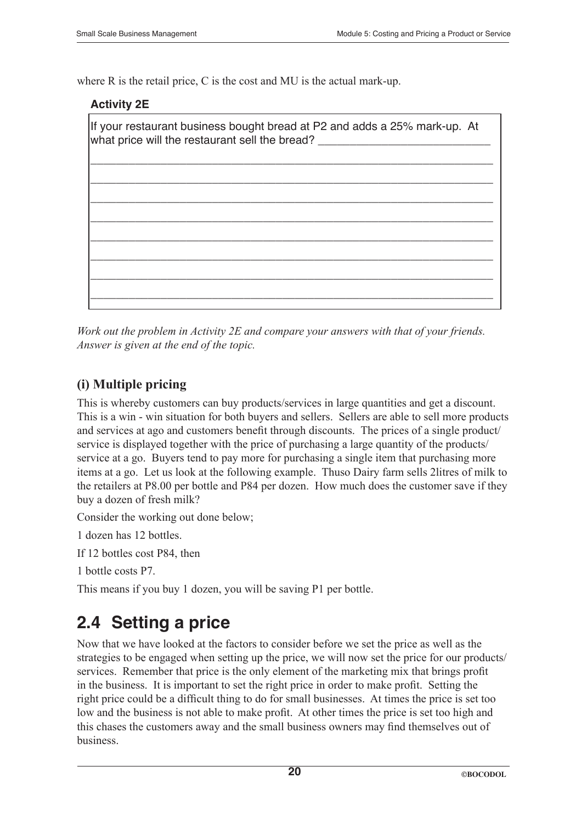where R is the retail price, C is the cost and MU is the actual mark-up.

#### **Activity 2E**

| If your restaurant business bought bread at P2 and adds a 25% mark-up. At<br>what price will the restaurant sell the bread? |  |  |
|-----------------------------------------------------------------------------------------------------------------------------|--|--|
|                                                                                                                             |  |  |
|                                                                                                                             |  |  |
|                                                                                                                             |  |  |
|                                                                                                                             |  |  |
|                                                                                                                             |  |  |
|                                                                                                                             |  |  |
|                                                                                                                             |  |  |
|                                                                                                                             |  |  |
|                                                                                                                             |  |  |
|                                                                                                                             |  |  |

*Work out the problem in Activity 2E and compare your answers with that of your friends. Answer is given at the end of the topic.*

### **(i) Multiple pricing**

This is whereby customers can buy products/services in large quantities and get a discount. This is a win - win situation for both buyers and sellers. Sellers are able to sell more products and services at ago and customers benefit through discounts. The prices of a single product/ service is displayed together with the price of purchasing a large quantity of the products/ service at a go. Buyers tend to pay more for purchasing a single item that purchasing more items at a go. Let us look at the following example. Thuso Dairy farm sells 2litres of milk to the retailers at P8.00 per bottle and P84 per dozen. How much does the customer save if they buy a dozen of fresh milk?

Consider the working out done below;

1 dozen has 12 bottles.

If 12 bottles cost P84, then

1 bottle costs P7.

This means if you buy 1 dozen, you will be saving P1 per bottle.

# **2.4 Setting a price**

Now that we have looked at the factors to consider before we set the price as well as the strategies to be engaged when setting up the price, we will now set the price for our products/ services. Remember that price is the only element of the marketing mix that brings profit in the business. It is important to set the right price in order to make profit. Setting the right price could be a difficult thing to do for small businesses. At times the price is set too low and the business is not able to make profit. At other times the price is set too high and this chases the customers away and the small business owners may find themselves out of business.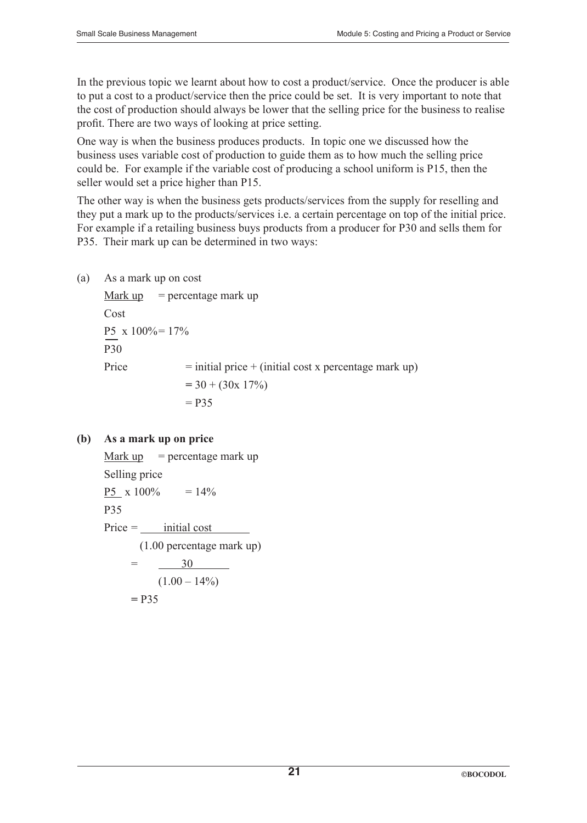In the previous topic we learnt about how to cost a product/service. Once the producer is able to put a cost to a product/service then the price could be set. It is very important to note that the cost of production should always be lower that the selling price for the business to realise profit. There are two ways of looking at price setting.

One way is when the business produces products. In topic one we discussed how the business uses variable cost of production to guide them as to how much the selling price could be. For example if the variable cost of producing a school uniform is P15, then the seller would set a price higher than P15.

The other way is when the business gets products/services from the supply for reselling and they put a mark up to the products/services i.e. a certain percentage on top of the initial price. For example if a retailing business buys products from a producer for P30 and sells them for P35. Their mark up can be determined in two ways:

(a) As a mark up on cost

```
Mark up = percentage mark up
Cost
P5 x 100%= 17%
P30
Price = initial price + (initial cost x percentage mark up)
               = 30 + (30x 17\%)= P35
```
#### **(b) As a mark up on price**

```
Mark up = percentage mark up
Selling price
P5 \times 100\% = 14\%P35
Price = initial cost
       (1.00 percentage mark up)
     = 30
          (1.00 - 14\%)= P35
```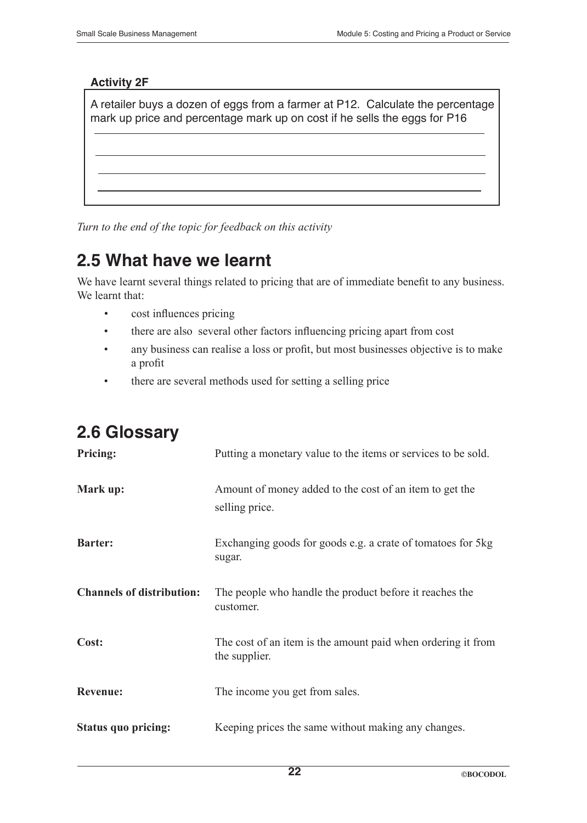#### **Activity 2F**

A retailer buys a dozen of eggs from a farmer at P12. Calculate the percentage mark up price and percentage mark up on cost if he sells the eggs for P16

*Turn to the end of the topic for feedback on this activity*

# **2.5 What have we learnt**

We have learnt several things related to pricing that are of immediate benefit to any business. We learnt that:

- cost influences pricing
- there are also several other factors influencing pricing apart from cost
- any business can realise a loss or profit, but most businesses objective is to make a profit
- there are several methods used for setting a selling price

# **2.6 Glossary**

| <b>Pricing:</b>                  | Putting a monetary value to the items or services to be sold.                 |  |
|----------------------------------|-------------------------------------------------------------------------------|--|
| Mark up:                         | Amount of money added to the cost of an item to get the<br>selling price.     |  |
| <b>Barter:</b>                   | Exchanging goods for goods e.g. a crate of tomatoes for 5kg<br>sugar.         |  |
| <b>Channels of distribution:</b> | The people who handle the product before it reaches the<br>customer.          |  |
| Cost:                            | The cost of an item is the amount paid when ordering it from<br>the supplier. |  |
| <b>Revenue:</b>                  | The income you get from sales.                                                |  |
| <b>Status quo pricing:</b>       | Keeping prices the same without making any changes.                           |  |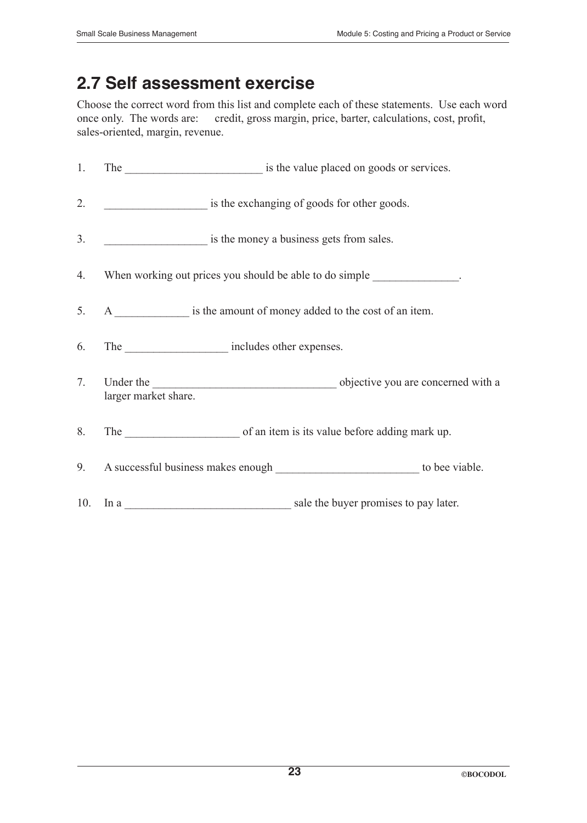# **2.7 Self assessment exercise**

Choose the correct word from this list and complete each of these statements. Use each word once only. The words are: credit, gross margin, price, barter, calculations, cost, profit, sales-oriented, margin, revenue.

| 1.             |                      | The same is the value placed on goods or services.                      |  |
|----------------|----------------------|-------------------------------------------------------------------------|--|
| 2.             |                      | is the exchanging of goods for other goods.                             |  |
| 3 <sub>1</sub> |                      | is the money a business gets from sales.                                |  |
| 4.             |                      | When working out prices you should be able to do simple ______________. |  |
| 5 <sub>1</sub> |                      | A is the amount of money added to the cost of an item.                  |  |
| 6.             |                      | The ________________________ includes other expenses.                   |  |
|                | larger market share. |                                                                         |  |
| 8.             |                      |                                                                         |  |
|                |                      |                                                                         |  |
|                |                      |                                                                         |  |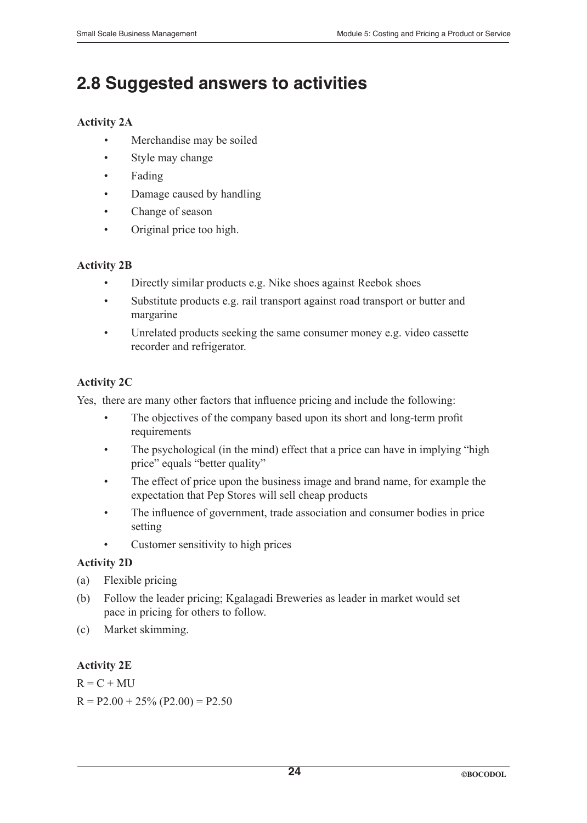# **2.8 Suggested answers to activities**

#### **Activity 2A**

- Merchandise may be soiled
- Style may change
- Fading
- Damage caused by handling
- Change of season
- Original price too high.

#### **Activity 2B**

- Directly similar products e.g. Nike shoes against Reebok shoes
- Substitute products e.g. rail transport against road transport or butter and margarine
- Unrelated products seeking the same consumer money e.g. video cassette recorder and refrigerator.

#### **Activity 2C**

Yes, there are many other factors that influence pricing and include the following:

- The objectives of the company based upon its short and long-term profit requirements
- The psychological (in the mind) effect that a price can have in implying "high price" equals "better quality"
- The effect of price upon the business image and brand name, for example the expectation that Pep Stores will sell cheap products
- The influence of government, trade association and consumer bodies in price setting
- Customer sensitivity to high prices

#### **Activity 2D**

- (a) Flexible pricing
- (b) Follow the leader pricing; Kgalagadi Breweries as leader in market would set pace in pricing for others to follow.
- (c) Market skimming.

#### **Activity 2E**

 $R = C + MU$  $R = P2.00 + 25\% (P2.00) = P2.50$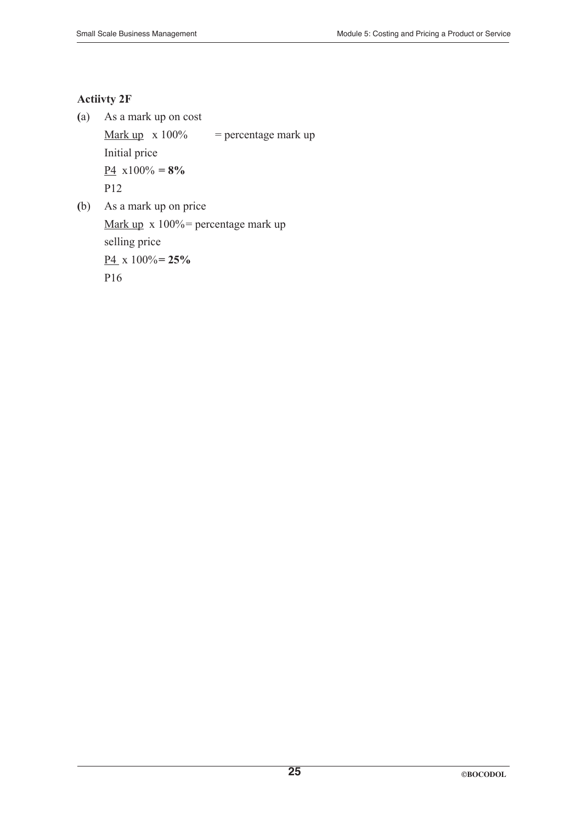#### **Actiivty 2F**

**(**a) As a mark up on cost Mark up  $x 100\%$  = percentage mark up Initial price  $\underline{P4}$  x100% = 8% P12

**(**b) As a mark up on price Mark up x 100% = percentage mark up selling price P4 x 100%**= 25%** P16